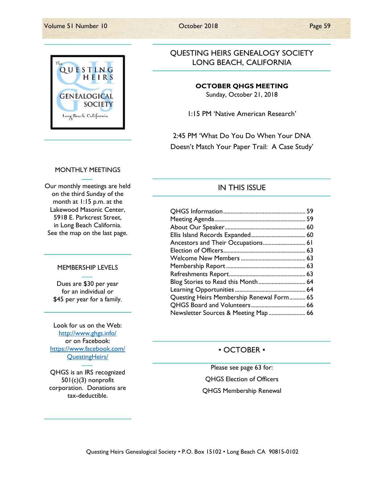QUESTING HEIRS **GENEALOGICAL SOCIETY** Long Beach, California

## QUESTING HEIRS GENEALOGY SOCIETY LONG BEACH, CALIFORNIA

#### OCTOBER QHGS MEETING

Sunday, October 21, 2018

1:15 PM 'Native American Research'

2:45 PM 'What Do You Do When Your DNA Doesn't Match Your Paper Trail: A Case Study'

### MONTHLY MEETINGS

Our monthly meetings are held on the third Sunday of the month at 1:15 p.m. at the Lakewood Masonic Center, 5918 E. Parkcrest Street, in Long Beach California. See the map on the last page.

#### MEMBERSHIP LEVELS

Dues are \$30 per year for an individual or \$45 per year for a family.

Look for us on the Web: http://www.ghgs.info/ or on Facebook: https://www.facebook.com/ QuestingHeirs/

QHGS is an IRS recognized 501(c)(3) nonprofit corporation. Donations are tax-deductible.

### IN THIS ISSUE

| Ancestors and Their Occupations 61        |  |
|-------------------------------------------|--|
|                                           |  |
|                                           |  |
|                                           |  |
|                                           |  |
| Blog Stories to Read this Month 64        |  |
|                                           |  |
| Questing Heirs Membership Renewal Form 65 |  |
|                                           |  |
| Newsletter Sources & Meeting Map  66      |  |

### • OCTOBER •

Please see page 63 for: QHGS Election of Officers QHGS Membership Renewal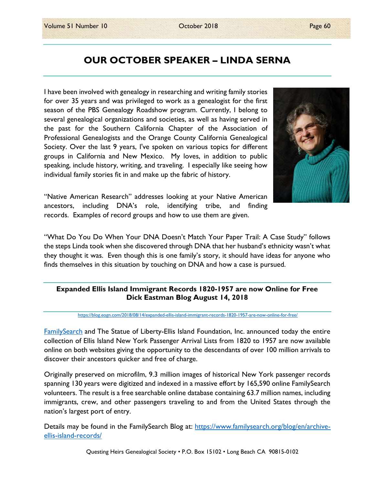# OUR OCTOBER SPEAKER – LINDA SERNA

I have been involved with genealogy in researching and writing family stories for over 35 years and was privileged to work as a genealogist for the first season of the PBS Genealogy Roadshow program. Currently, I belong to several genealogical organizations and societies, as well as having served in the past for the Southern California Chapter of the Association of Professional Genealogists and the Orange County California Genealogical Society. Over the last 9 years, I've spoken on various topics for different groups in California and New Mexico. My loves, in addition to public speaking, include history, writing, and traveling. I especially like seeing how individual family stories fit in and make up the fabric of history.



"Native American Research" addresses looking at your Native American ancestors, including DNA's role, identifying tribe, and finding records. Examples of record groups and how to use them are given.

"What Do You Do When Your DNA Doesn't Match Your Paper Trail: A Case Study" follows the steps Linda took when she discovered through DNA that her husband's ethnicity wasn't what they thought it was. Even though this is one family's story, it should have ideas for anyone who finds themselves in this situation by touching on DNA and how a case is pursued.

### Expanded Ellis Island Immigrant Records 1820-1957 are now Online for Free Dick Eastman Blog August 14, 2018

#### https://blog.eogn.com/2018/08/14/expanded-ellis-island-immigrant-records-1820-1957-are-now-online-for-free/

FamilySearch and The Statue of Liberty-Ellis Island Foundation, Inc. announced today the entire collection of Ellis Island New York Passenger Arrival Lists from 1820 to 1957 are now available online on both websites giving the opportunity to the descendants of over 100 million arrivals to discover their ancestors quicker and free of charge.

Originally preserved on microfilm, 9.3 million images of historical New York passenger records spanning 130 years were digitized and indexed in a massive effort by 165,590 online FamilySearch volunteers. The result is a free searchable online database containing 63.7 million names, including immigrants, crew, and other passengers traveling to and from the United States through the nation's largest port of entry.

Details may be found in the FamilySearch Blog at: https://www.familysearch.org/blog/en/archiveellis-island-records/

Questing Heirs Genealogical Society • P.O. Box 15102 • Long Beach CA 90815-0102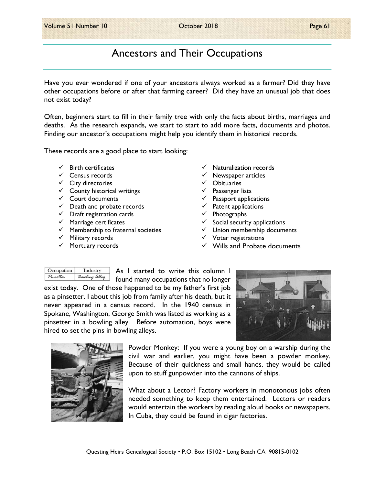# Ancestors and Their Occupations

Have you ever wondered if one of your ancestors always worked as a farmer? Did they have other occupations before or after that farming career? Did they have an unusual job that does not exist today?

Often, beginners start to fill in their family tree with only the facts about births, marriages and deaths. As the research expands, we start to start to add more facts, documents and photos. Finding our ancestor's occupations might help you identify them in historical records.

These records are a good place to start looking:

- $\checkmark$  Birth certificates
- $\checkmark$  Census records
- $\checkmark$  City directories
- $\checkmark$  County historical writings
- $\checkmark$  Court documents
- $\checkmark$  Death and probate records
- $\checkmark$  Draft registration cards
- $\checkmark$  Marriage certificates
- $\checkmark$  Membership to fraternal societies
- $\checkmark$  Military records
- $\checkmark$  Mortuary records
- $\checkmark$  Naturalization records
- $\checkmark$  Newspaper articles
- Obituaries
- $\checkmark$  Passenger lists
- $\checkmark$  Passport applications
- $\checkmark$  Patent applications
- $\checkmark$  Photographs
- $\checkmark$  Social security applications
- $\checkmark$  Union membership documents
- $\checkmark$  Voter registrations
- $\checkmark$  Wills and Probate documents

| Occupation | Industry      |
|------------|---------------|
| Pinsetter  | Bowling alley |

As I started to write this column I

found many occupations that no longer exist today. One of those happened to be my father's first job as a pinsetter. I about this job from family after his death, but it never appeared in a census record. In the 1940 census in Spokane, Washington, George Smith was listed as working as a pinsetter in a bowling alley. Before automation, boys were hired to set the pins in bowling alleys.





Powder Monkey: If you were a young boy on a warship during the civil war and earlier, you might have been a powder monkey. Because of their quickness and small hands, they would be called upon to stuff gunpowder into the cannons of ships.

What about a Lector? Factory workers in monotonous jobs often needed something to keep them entertained. Lectors or readers would entertain the workers by reading aloud books or newspapers. In Cuba, they could be found in cigar factories.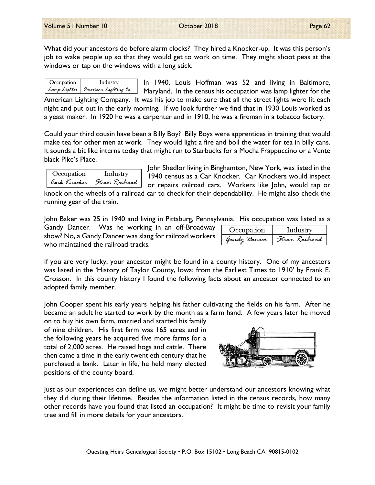What did your ancestors do before alarm clocks? They hired a Knocker-up. It was this person's job to wake people up so that they would get to work on time. They might shoot peas at the windows or tap on the windows with a long stick.

| Occupation | Industry                           | $\ln$ 19 |
|------------|------------------------------------|----------|
|            | Lamp Lighter american Lighting Co. | Maryla   |

40, Louis Hoffman was 52 and living in Baltimore, Maryland. In the census his occupation was lamp lighter for the

American Lighting Company. It was his job to make sure that all the street lights were lit each night and put out in the early morning. If we look further we find that in 1930 Louis worked as a yeast maker. In 1920 he was a carpenter and in 1910, he was a fireman in a tobacco factory.

Could your third cousin have been a Billy Boy? Billy Boys were apprentices in training that would make tea for other men at work. They would light a fire and boil the water for tea in billy cans. It sounds a bit like interns today that might run to Starbucks for a Mocha Frappuccino or a Vente black Pike's Place.

| Occupation   | Industry       |
|--------------|----------------|
| Cark Knocker | Steam Railroad |

John Shedlor living in Binghamton, New York, was listed in the 1940 census as a Car Knocker. Car Knockers would inspect or repairs railroad cars. Workers like John, would tap or

knock on the wheels of a railroad car to check for their dependability. He might also check the running gear of the train.

John Baker was 25 in 1940 and living in Pittsburg, Pennsylvania. His occupation was listed as a

Gandy Dancer. Was he working in an off-Broadway show? No, a Gandy Dancer was slang for railroad workers who maintained the railroad tracks.

| Occupation   | Industry       |
|--------------|----------------|
| Gandy Dancer | Steam Railroad |

If you are very lucky, your ancestor might be found in a county history. One of my ancestors was listed in the 'History of Taylor County, Iowa; from the Earliest Times to 1910' by Frank E. Crosson. In this county history I found the following facts about an ancestor connected to an adopted family member.

John Cooper spent his early years helping his father cultivating the fields on his farm. After he became an adult he started to work by the month as a farm hand. A few years later he moved

on to buy his own farm, married and started his family of nine children. His first farm was 165 acres and in the following years he acquired five more farms for a total of 2,000 acres. He raised hogs and cattle. There then came a time in the early twentieth century that he purchased a bank. Later in life, he held many elected positions of the county board.



Just as our experiences can define us, we might better understand our ancestors knowing what they did during their lifetime. Besides the information listed in the census records, how many other records have you found that listed an occupation? It might be time to revisit your family tree and fill in more details for your ancestors.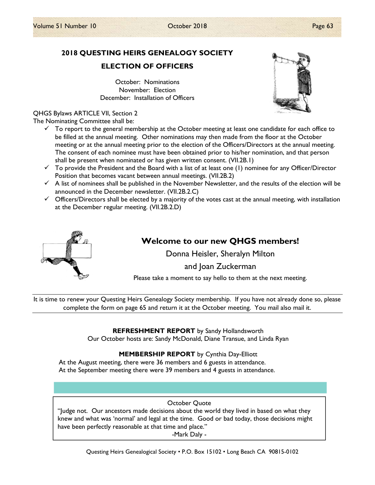# 2018 QUESTING HEIRS GENEALOGY SOCIETY

ELECTION OF OFFICERS

October: Nominations November: Election December: Installation of Officers

#### QHGS Bylaws ARTICLE VII, Section 2

The Nominating Committee shall be:

- $\checkmark$  To report to the general membership at the October meeting at least one candidate for each office to be filled at the annual meeting. Other nominations may then made from the floor at the October meeting or at the annual meeting prior to the election of the Officers/Directors at the annual meeting. The consent of each nominee must have been obtained prior to his/her nomination, and that person shall be present when nominated or has given written consent. (VII.2B.1)
- $\checkmark$  To provide the President and the Board with a list of at least one (1) nominee for any Officer/Director Position that becomes vacant between annual meetings. (VII.2B.2)
- $\checkmark$  A list of nominees shall be published in the November Newsletter, and the results of the election will be announced in the December newsletter. (VII.2B.2.C)
- $\checkmark$  Officers/Directors shall be elected by a majority of the votes cast at the annual meeting, with installation at the December regular meeting. (VII.2B.2.D)



## Welcome to our new QHGS members!

Donna Heisler, Sheralyn Milton

and Joan Zuckerman

Please take a moment to say hello to them at the next meeting.

It is time to renew your Questing Heirs Genealogy Society membership. If you have not already done so, please complete the form on page 65 and return it at the October meeting. You mail also mail it.

### **REFRESHMENT REPORT** by Sandy Hollandsworth

Our October hosts are: Sandy McDonald, Diane Transue, and Linda Ryan

### MEMBERSHIP REPORT by Cynthia Day-Elliott

At the August meeting, there were 36 members and 6 guests in attendance. At the September meeting there were 39 members and 4 guests in attendance.

#### October Quote

"Judge not. Our ancestors made decisions about the world they lived in based on what they knew and what was 'normal' and legal at the time. Good or bad today, those decisions might have been perfectly reasonable at that time and place."

-Mark Daly -

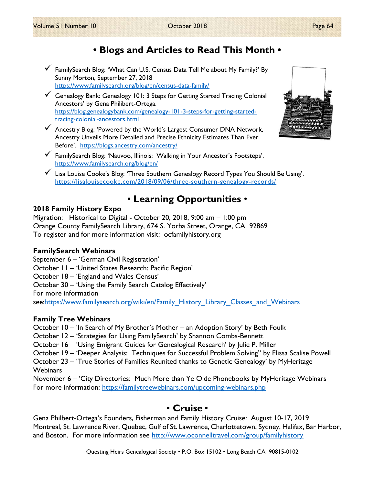# • Blogs and Articles to Read This Month •

- FamilySearch Blog: 'What Can U.S. Census Data Tell Me about My Family?' By Sunny Morton, September 27, 2018 https://www.familysearch.org/blog/en/census-data-family/
- Genealogy Bank: Genealogy 101: 3 Steps for Getting Started Tracing Colonial Ancestors' by Gena Philibert-Ortega. https://blog.genealogybank.com/genealogy-101-3-steps-for-getting-startedtracing-colonial-ancestors.html
- Ancestry Blog: 'Powered by the World's Largest Consumer DNA Network, Ancestry Unveils More Detailed and Precise Ethnicity Estimates Than Ever Before'. https://blogs.ancestry.com/ancestry/
- FamilySearch Blog: 'Nauvoo, Illinois: Walking in Your Ancestor's Footsteps'. https://www.familysearch.org/blog/en/
- Lisa Louise Cooke's Blog: 'Three Southern Genealogy Record Types You Should Be Using'. https://lisalouisecooke.com/2018/09/06/three-southern-genealogy-records/

# • Learning Opportunities •

## 2018 Family History Expo

Migration: Historical to Digital - October 20, 2018, 9:00 am – 1:00 pm Orange County FamilySearch Library, 674 S. Yorba Street, Orange, CA 92869 To register and for more information visit: ocfamilyhistory.org

### FamilySearch Webinars

September 6 – 'German Civil Registration' October 11 – 'United States Research: Pacific Region' October 18 – 'England and Wales Census' October 30 – 'Using the Family Search Catalog Effectively' For more information see:https://www.familysearch.org/wiki/en/Family\_History\_Library\_Classes\_and\_Webinars

## Family Tree Webinars

October 10 – 'In Search of My Brother's Mother – an Adoption Story' by Beth Foulk

- October 12 'Strategies for Using FamilySearch' by Shannon Combs-Bennett
- October 16 'Using Emigrant Guides for Genealogical Research' by Julie P. Miller
- October 19 'Deeper Analysis: Techniques for Successful Problem Solving'' by Elissa Scalise Powell

October 23 – 'True Stories of Families Reunited thanks to Genetic Genealogy' by MyHeritage Webinars

November 6 – 'City Directories: Much More than Ye Olde Phonebooks by MyHeritage Webinars For more information: https://familytreewebinars.com/upcoming-webinars.php

## • Cruise •

Gena Philbert-Ortega's Founders, Fisherman and Family History Cruise: August 10-17, 2019 Montreal, St. Lawrence River, Quebec, Gulf of St. Lawrence, Charlottetown, Sydney, Halifax, Bar Harbor, and Boston. For more information see http://www.oconnelltravel.com/group/familyhistory

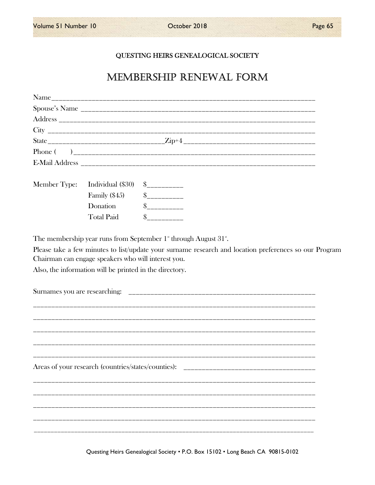$\overline{\phantom{a}}$ 

## QUESTING HEIRS GENEALOGICAL SOCIETY

# MEMBERSHIP RENEWAL FORM

|              |                                                         | State _________________________________Zip+4 ___________________________________ |  |
|--------------|---------------------------------------------------------|----------------------------------------------------------------------------------|--|
|              |                                                         |                                                                                  |  |
|              |                                                         |                                                                                  |  |
| Member Type: | Individual (\$30)                                       | $S$ ___________                                                                  |  |
|              | Family $(\$45)$                                         | $S$ ___________                                                                  |  |
|              | Donation                                                |                                                                                  |  |
|              | <b>Total Paid</b>                                       | $\frac{1}{2}$                                                                    |  |
|              | Also, the information will be printed in the directory. |                                                                                  |  |
|              |                                                         |                                                                                  |  |
|              |                                                         |                                                                                  |  |

Questing Heirs Genealogical Society . P.O. Box 15102 . Long Beach CA 90815-0102